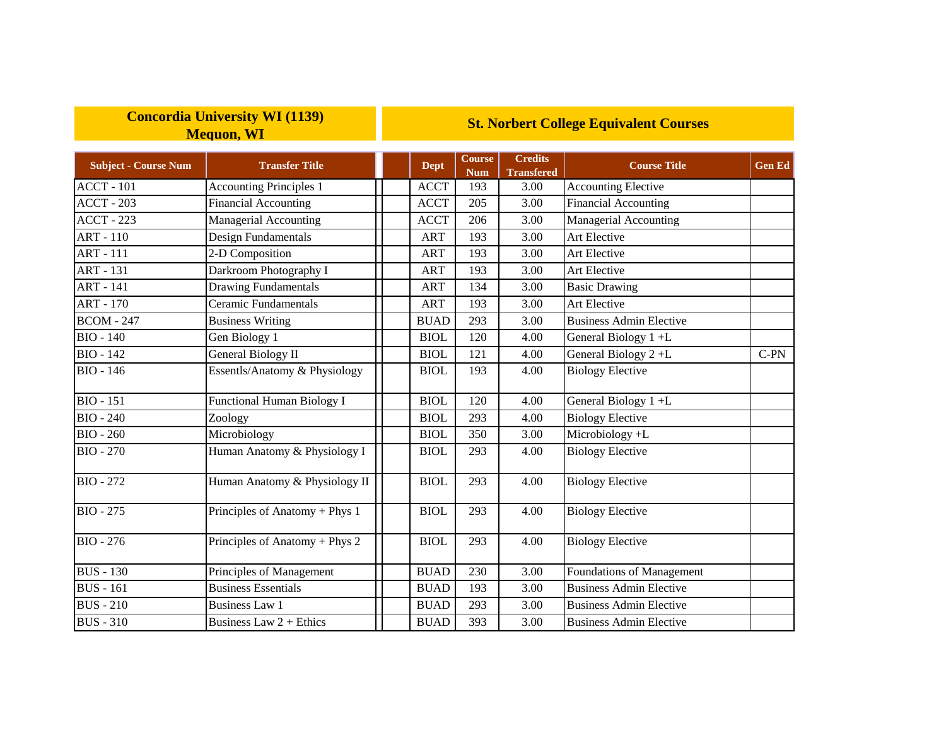## **Concordia University WI (1139) Mequon, WI**

## **St. Norbert College Equivalent Courses**

| <b>Subject - Course Num</b> | <b>Transfer Title</b>             | <b>Dept</b> | <b>Course</b><br><b>Num</b> | <b>Credits</b><br><b>Transfered</b> | <b>Course Title</b>            | <b>Gen Ed</b> |
|-----------------------------|-----------------------------------|-------------|-----------------------------|-------------------------------------|--------------------------------|---------------|
| $ACCT - 101$                | <b>Accounting Principles 1</b>    | <b>ACCT</b> | 193                         | 3.00                                | <b>Accounting Elective</b>     |               |
| <b>ACCT - 203</b>           | <b>Financial Accounting</b>       | <b>ACCT</b> | 205                         | 3.00                                | Financial Accounting           |               |
| $ACCT - 223$                | Managerial Accounting             | <b>ACCT</b> | 206                         | 3.00                                | Managerial Accounting          |               |
| <b>ART - 110</b>            | Design Fundamentals               | <b>ART</b>  | 193                         | 3.00                                | Art Elective                   |               |
| <b>ART - 111</b>            | 2-D Composition                   | <b>ART</b>  | 193                         | 3.00                                | Art Elective                   |               |
| <b>ART - 131</b>            | Darkroom Photography I            | ART         | 193                         | 3.00                                | Art Elective                   |               |
| <b>ART</b> - 141            | <b>Drawing Fundamentals</b>       | <b>ART</b>  | 134                         | 3.00                                | <b>Basic Drawing</b>           |               |
| <b>ART - 170</b>            | Ceramic Fundamentals              | <b>ART</b>  | 193                         | 3.00                                | Art Elective                   |               |
| <b>BCOM - 247</b>           | <b>Business Writing</b>           | <b>BUAD</b> | 293                         | 3.00                                | <b>Business Admin Elective</b> |               |
| <b>BIO - 140</b>            | Gen Biology 1                     | <b>BIOL</b> | 120                         | 4.00                                | General Biology 1+L            |               |
| <b>BIO - 142</b>            | <b>General Biology II</b>         | <b>BIOL</b> | 121                         | 4.00                                | General Biology 2+L            | $C-PN$        |
| <b>BIO - 146</b>            | Essentls/Anatomy & Physiology     | <b>BIOL</b> | 193                         | 4.00                                | <b>Biology Elective</b>        |               |
| <b>BIO - 151</b>            | <b>Functional Human Biology I</b> | <b>BIOL</b> | 120                         | 4.00                                | General Biology 1+L            |               |
| <b>BIO - 240</b>            | Zoology                           | <b>BIOL</b> | 293                         | 4.00                                | <b>Biology Elective</b>        |               |
| <b>BIO - 260</b>            | Microbiology                      | <b>BIOL</b> | 350                         | 3.00                                | Microbiology +L                |               |
| <b>BIO - 270</b>            | Human Anatomy & Physiology I      | <b>BIOL</b> | 293                         | 4.00                                | <b>Biology Elective</b>        |               |
| <b>BIO - 272</b>            | Human Anatomy & Physiology II     | <b>BIOL</b> | 293                         | 4.00                                | <b>Biology Elective</b>        |               |
| <b>BIO</b> - 275            | Principles of Anatomy + Phys 1    | <b>BIOL</b> | 293                         | 4.00                                | <b>Biology Elective</b>        |               |
| <b>BIO</b> - 276            | Principles of Anatomy + Phys 2    | <b>BIOL</b> | 293                         | 4.00                                | <b>Biology Elective</b>        |               |
| <b>BUS</b> - 130            | Principles of Management          | <b>BUAD</b> | 230                         | 3.00                                | Foundations of Management      |               |
| <b>BUS</b> - 161            | <b>Business Essentials</b>        | <b>BUAD</b> | 193                         | 3.00                                | <b>Business Admin Elective</b> |               |
| <b>BUS</b> - 210            | <b>Business Law 1</b>             | <b>BUAD</b> | 293                         | 3.00                                | <b>Business Admin Elective</b> |               |
| <b>BUS - 310</b>            | Business Law $2 +$ Ethics         | <b>BUAD</b> | 393                         | 3.00                                | <b>Business Admin Elective</b> |               |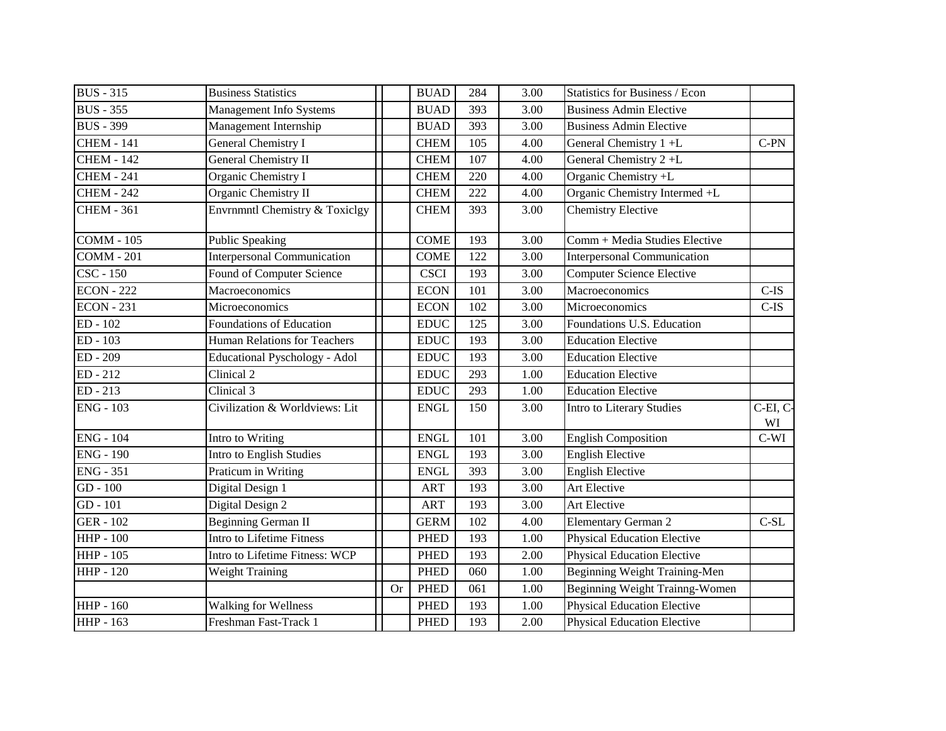| <b>BUS</b> - 315  | <b>Business Statistics</b>           |           | <b>BUAD</b>                  | 284 | 3.00     | <b>Statistics for Business / Econ</b> |               |
|-------------------|--------------------------------------|-----------|------------------------------|-----|----------|---------------------------------------|---------------|
| <b>BUS</b> - 355  | Management Info Systems              |           | <b>BUAD</b>                  | 393 | 3.00     | <b>Business Admin Elective</b>        |               |
| <b>BUS - 399</b>  | Management Internship                |           | <b>BUAD</b>                  | 393 | 3.00     | <b>Business Admin Elective</b>        |               |
| <b>CHEM - 141</b> | General Chemistry I                  |           | <b>CHEM</b>                  | 105 | 4.00     | General Chemistry 1+L                 | $C-PN$        |
| <b>CHEM - 142</b> | General Chemistry II                 |           | <b>CHEM</b>                  | 107 | 4.00     | General Chemistry 2+L                 |               |
| <b>CHEM - 241</b> | Organic Chemistry I                  |           | <b>CHEM</b>                  | 220 | 4.00     | Organic Chemistry +L                  |               |
| <b>CHEM - 242</b> | Organic Chemistry II                 |           | <b>CHEM</b>                  | 222 | 4.00     | Organic Chemistry Intermed +L         |               |
| <b>CHEM - 361</b> | Envrnmntl Chemistry & Toxiclgy       |           | <b>CHEM</b>                  | 393 | 3.00     | <b>Chemistry Elective</b>             |               |
| <b>COMM - 105</b> | <b>Public Speaking</b>               |           | <b>COME</b>                  | 193 | 3.00     | Comm + Media Studies Elective         |               |
| <b>COMM - 201</b> | <b>Interpersonal Communication</b>   |           | <b>COME</b>                  | 122 | 3.00     | <b>Interpersonal Communication</b>    |               |
| CSC - 150         | <b>Found of Computer Science</b>     |           | <b>CSCI</b>                  | 193 | 3.00     | <b>Computer Science Elective</b>      |               |
| <b>ECON</b> - 222 | Macroeconomics                       |           | <b>ECON</b>                  | 101 | 3.00     | Macroeconomics                        | $C$ -IS       |
| <b>ECON</b> - 231 | Microeconomics                       |           | <b>ECON</b>                  | 102 | 3.00     | Microeconomics                        | $C$ -IS       |
| ED - 102          | Foundations of Education             |           | <b>EDUC</b>                  | 125 | 3.00     | Foundations U.S. Education            |               |
| ED - 103          | <b>Human Relations for Teachers</b>  |           | $\mathop{\rm EDUC}\nolimits$ | 193 | 3.00     | <b>Education Elective</b>             |               |
| ED-209            | <b>Educational Pyschology - Adol</b> |           | <b>EDUC</b>                  | 193 | 3.00     | <b>Education Elective</b>             |               |
| ED-212            | Clinical 2                           |           | <b>EDUC</b>                  | 293 | 1.00     | <b>Education Elective</b>             |               |
| ED - 213          | Clinical 3                           |           | <b>EDUC</b>                  | 293 | 1.00     | <b>Education Elective</b>             |               |
| <b>ENG - 103</b>  | Civilization & Worldviews: Lit       |           | <b>ENGL</b>                  | 150 | 3.00     | Intro to Literary Studies             | C-EI, C<br>WI |
| <b>ENG - 104</b>  | Intro to Writing                     |           | <b>ENGL</b>                  | 101 | 3.00     | <b>English Composition</b>            | $C-WI$        |
| <b>ENG - 190</b>  | Intro to English Studies             |           | <b>ENGL</b>                  | 193 | 3.00     | <b>English Elective</b>               |               |
| <b>ENG - 351</b>  | Praticum in Writing                  |           | <b>ENGL</b>                  | 393 | 3.00     | <b>English Elective</b>               |               |
| $GD - 100$        | Digital Design 1                     |           | <b>ART</b>                   | 193 | 3.00     | Art Elective                          |               |
| GD - 101          | Digital Design 2                     |           | <b>ART</b>                   | 193 | 3.00     | Art Elective                          |               |
| <b>GER - 102</b>  | <b>Beginning German II</b>           |           | <b>GERM</b>                  | 102 | 4.00     | <b>Elementary German 2</b>            | $C-SL$        |
| <b>HHP-100</b>    | <b>Intro to Lifetime Fitness</b>     |           | <b>PHED</b>                  | 193 | 1.00     | <b>Physical Education Elective</b>    |               |
| <b>HHP</b> - 105  | Intro to Lifetime Fitness: WCP       |           | <b>PHED</b>                  | 193 | 2.00     | <b>Physical Education Elective</b>    |               |
| <b>HHP</b> - 120  | <b>Weight Training</b>               |           | <b>PHED</b>                  | 060 | 1.00     | Beginning Weight Training-Men         |               |
|                   |                                      | <b>Or</b> | <b>PHED</b>                  | 061 | $1.00\,$ | Beginning Weight Trainng-Women        |               |
| <b>HHP</b> - 160  | <b>Walking for Wellness</b>          |           | <b>PHED</b>                  | 193 | 1.00     | <b>Physical Education Elective</b>    |               |
| HHP - 163         | Freshman Fast-Track 1                |           | <b>PHED</b>                  | 193 | 2.00     | <b>Physical Education Elective</b>    |               |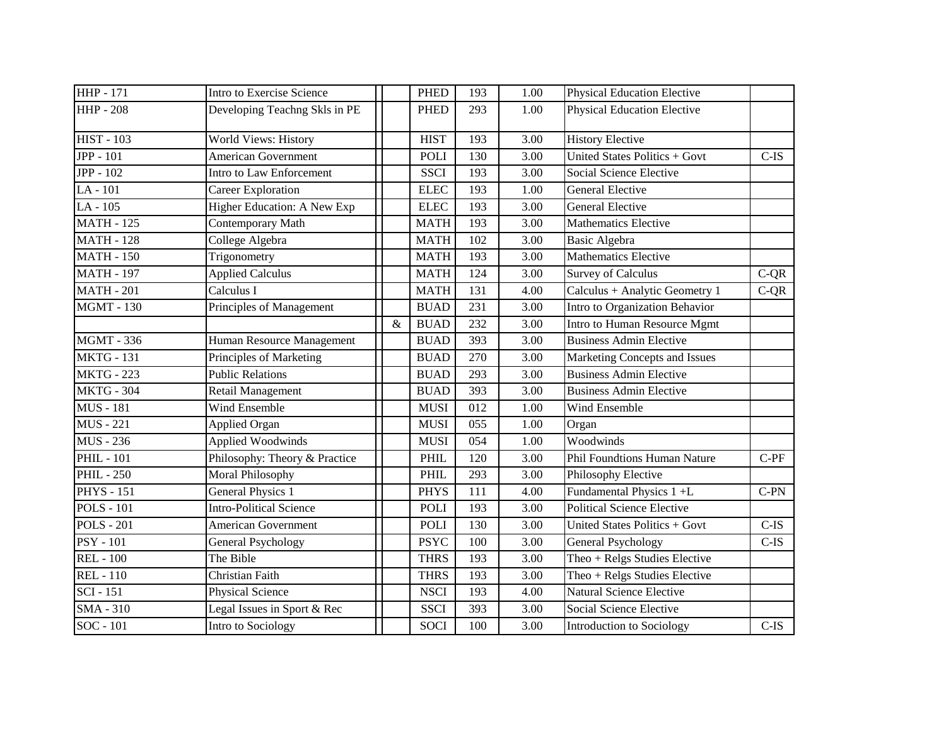| <b>HHP</b> - 171  | Intro to Exercise Science      |   | <b>PHED</b> | 193 | 1.00 | <b>Physical Education Elective</b> |         |
|-------------------|--------------------------------|---|-------------|-----|------|------------------------------------|---------|
| <b>HHP-208</b>    | Developing Teachng Skls in PE  |   | <b>PHED</b> | 293 | 1.00 | <b>Physical Education Elective</b> |         |
| <b>HIST - 103</b> | World Views: History           |   | <b>HIST</b> | 193 | 3.00 | <b>History Elective</b>            |         |
| <b>JPP</b> - 101  | <b>American Government</b>     |   | <b>POLI</b> | 130 | 3.00 | United States Politics + Govt      | $C-IS$  |
| <b>JPP</b> - 102  | Intro to Law Enforcement       |   | <b>SSCI</b> | 193 | 3.00 | Social Science Elective            |         |
| LA-101            | Career Exploration             |   | <b>ELEC</b> | 193 | 1.00 | <b>General Elective</b>            |         |
| LA-105            | Higher Education: A New Exp    |   | <b>ELEC</b> | 193 | 3.00 | <b>General Elective</b>            |         |
| <b>MATH - 125</b> | Contemporary Math              |   | <b>MATH</b> | 193 | 3.00 | <b>Mathematics Elective</b>        |         |
| <b>MATH - 128</b> | College Algebra                |   | <b>MATH</b> | 102 | 3.00 | <b>Basic Algebra</b>               |         |
| <b>MATH - 150</b> | Trigonometry                   |   | <b>MATH</b> | 193 | 3.00 | <b>Mathematics Elective</b>        |         |
| <b>MATH - 197</b> | <b>Applied Calculus</b>        |   | <b>MATH</b> | 124 | 3.00 | <b>Survey of Calculus</b>          | $C-QR$  |
| <b>MATH - 201</b> | Calculus I                     |   | <b>MATH</b> | 131 | 4.00 | Calculus + Analytic Geometry 1     | $C-QR$  |
| <b>MGMT - 130</b> | Principles of Management       |   | <b>BUAD</b> | 231 | 3.00 | Intro to Organization Behavior     |         |
|                   |                                | & | <b>BUAD</b> | 232 | 3.00 | Intro to Human Resource Mgmt       |         |
| <b>MGMT - 336</b> | Human Resource Management      |   | <b>BUAD</b> | 393 | 3.00 | <b>Business Admin Elective</b>     |         |
| <b>MKTG - 131</b> | Principles of Marketing        |   | <b>BUAD</b> | 270 | 3.00 | Marketing Concepts and Issues      |         |
| <b>MKTG - 223</b> | <b>Public Relations</b>        |   | <b>BUAD</b> | 293 | 3.00 | <b>Business Admin Elective</b>     |         |
| <b>MKTG - 304</b> | Retail Management              |   | <b>BUAD</b> | 393 | 3.00 | <b>Business Admin Elective</b>     |         |
| <b>MUS</b> - 181  | Wind Ensemble                  |   | <b>MUSI</b> | 012 | 1.00 | Wind Ensemble                      |         |
| <b>MUS</b> - 221  | Applied Organ                  |   | <b>MUSI</b> | 055 | 1.00 | Organ                              |         |
| <b>MUS</b> - 236  | <b>Applied Woodwinds</b>       |   | <b>MUSI</b> | 054 | 1.00 | Woodwinds                          |         |
| <b>PHIL - 101</b> | Philosophy: Theory & Practice  |   | PHIL        | 120 | 3.00 | Phil Foundtions Human Nature       | $C-PF$  |
| <b>PHIL-250</b>   | Moral Philosophy               |   | PHIL        | 293 | 3.00 | Philosophy Elective                |         |
| <b>PHYS</b> - 151 | <b>General Physics 1</b>       |   | <b>PHYS</b> | 111 | 4.00 | Fundamental Physics 1 +L           | $C-PN$  |
| <b>POLS - 101</b> | <b>Intro-Political Science</b> |   | <b>POLI</b> | 193 | 3.00 | <b>Political Science Elective</b>  |         |
| <b>POLS - 201</b> | <b>American Government</b>     |   | <b>POLI</b> | 130 | 3.00 | United States Politics + Govt      | $C$ -IS |
| <b>PSY - 101</b>  | General Psychology             |   | <b>PSYC</b> | 100 | 3.00 | General Psychology                 | $C$ -IS |
| <b>REL</b> - 100  | The Bible                      |   | <b>THRS</b> | 193 | 3.00 | Theo + Relgs Studies Elective      |         |
| <b>REL-110</b>    | Christian Faith                |   | <b>THRS</b> | 193 | 3.00 | Theo + Relgs Studies Elective      |         |
| <b>SCI</b> - 151  | Physical Science               |   | <b>NSCI</b> | 193 | 4.00 | <b>Natural Science Elective</b>    |         |
| <b>SMA - 310</b>  | Legal Issues in Sport & Rec    |   | <b>SSCI</b> | 393 | 3.00 | Social Science Elective            |         |
| SOC - 101         | Intro to Sociology             |   | <b>SOCI</b> | 100 | 3.00 | <b>Introduction to Sociology</b>   | $C$ -IS |